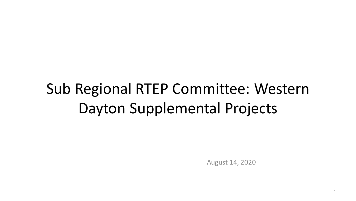# Sub Regional RTEP Committee: Western Dayton Supplemental Projects

August 14, 2020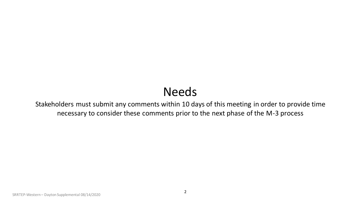## Needs

Stakeholders must submit any comments within 10 days of this meeting in order to provide time necessary to consider these comments prior to the next phase of the M-3 process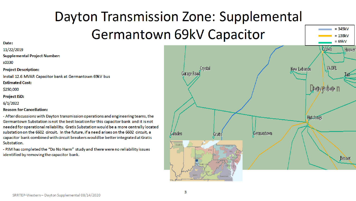# Dayton Transmission Zone: Supplemental Germantown 69kV Capacitor

#### Date:

11/22/2019

**Supplemental Project Number:** 

s0330

**Project Description:** 

Install 12.6 MVAR Capacitor bank at Germantown 69kV bus

**Estimated Cost:** 

\$250,000

**Project ISD:** 

 $6/1/2022$ 

#### **Reason for Cancellation:**

- After discussions with Dayton transmission operations and engineering teams, the Germantown Substation is not the best location for this capacitor bank and it is not needed for operational reliability. Gratis Substation would be a more centrally located substation on the 6602 circuit. In the future, if a need arises on the 6602 circuit, a capacitor bank combined with circuit breakers would be better integrated at Gratis Substation.

- PJM has completed the "Do No Harm" study and there were no reliability issues identified by removing the capacitor bank.



 $= 345kV$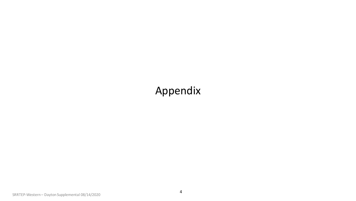## Appendix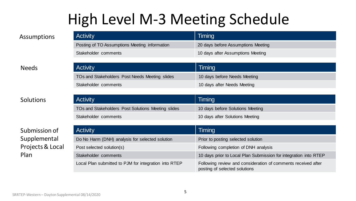## High Level M-3 Meeting Schedule

| <b>Activity</b>                               | Timing                             |
|-----------------------------------------------|------------------------------------|
| Posting of TO Assumptions Meeting information | 20 days before Assumptions Meeting |
| Stakeholder comments                          | 10 days after Assumptions Meeting  |

#### Needs

### Solutions

### Submission of Supplemental Projects & Local Plan

| <b>Activity</b>                                | Timing                       |
|------------------------------------------------|------------------------------|
| TOs and Stakeholders Post Needs Meeting slides | 10 days before Needs Meeting |
| Stakeholder comments                           | 10 days after Needs Meeting  |
|                                                |                              |

| Activity                                           | Timing                           |
|----------------------------------------------------|----------------------------------|
| TOs and Stakeholders Post Solutions Meeting slides | 10 days before Solutions Meeting |
| Stakeholder comments                               | 10 days after Solutions Meeting  |

| <b>Activity</b>                                       | Timing                                                                                         |
|-------------------------------------------------------|------------------------------------------------------------------------------------------------|
| Do No Harm (DNH) analysis for selected solution       | Prior to posting selected solution                                                             |
| Post selected solution(s)                             | Following completion of DNH analysis                                                           |
| Stakeholder comments                                  | 10 days prior to Local Plan Submission for integration into RTEP                               |
| Local Plan submitted to PJM for integration into RTEP | Following review and consideration of comments received after<br>posting of selected solutions |